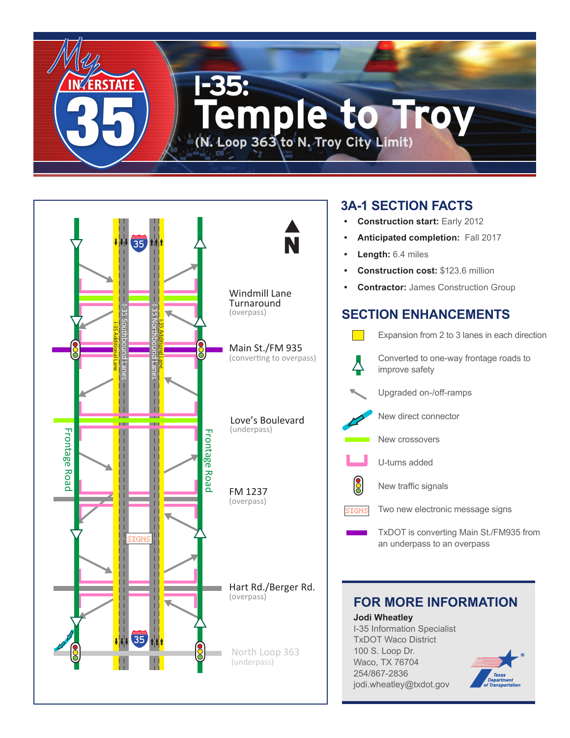